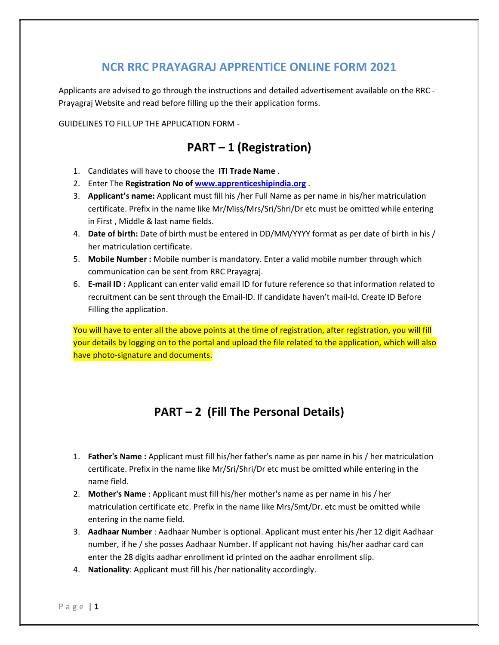### NCR RRC PRAYAGRAJ APPRENTICE ONLINE FORM 2021

Applicants are advised to go through the instructions and detailed advertisement available on the RRC - Prayagraj Website and read before filling up the their application forms.

GUIDELINES TO FILL UP THE APPLICATION FORM -

### PART – 1 (Registration)

- 1. Candidates will have to choose the ITI Trade Name .
- 2. Enter The Registration No of www.apprenticeshipindia.org.
- 3. Applicant's name: Applicant must fill his /her Full Name as per name in his/her matriculation certificate. Prefix in the name like Mr/Miss/Mrs/Sri/Shri/Dr etc must be omitted while entering in First , Middle & last name fields.
- 4. Date of birth: Date of birth must be entered in DD/MM/YYYY format as per date of birth in his / her matriculation certificate.
- 5. Mobile Number : Mobile number is mandatory. Enter a valid mobile number through which communication can be sent from RRC Prayagraj.
- 6. E-mail ID : Applicant can enter valid email ID for future reference so that information related to recruitment can be sent through the Email-ID. If candidate haven't mail-Id. Create ID Before Filling the application.

You will have to enter all the above points at the time of registration, after registration, you will fill your details by logging on to the portal and upload the file related to the application, which will also have photo-signature and documents.

# PART – 2 (Fill The Personal Details)

- 1. Father's Name: Applicant must fill his/her father's name as per name in his / her matriculation certificate. Prefix in the name like Mr/Sri/Shri/Dr etc must be omitted while entering in the name field.
- 2. Mother's Name : Applicant must fill his/her mother's name as per name in his / her matriculation certificate etc. Prefix in the name like Mrs/Smt/Dr. etc must be omitted while entering in the name field.
- 3. Aadhaar Number : Aadhaar Number is optional. Applicant must enter his /her 12 digit Aadhaar number, if he / she posses Aadhaar Number. If applicant not having his/her aadhar card can enter the 28 digits aadhar enrollment id printed on the aadhar enrollment slip.
- 4. Nationality: Applicant must fill his /her nationality accordingly.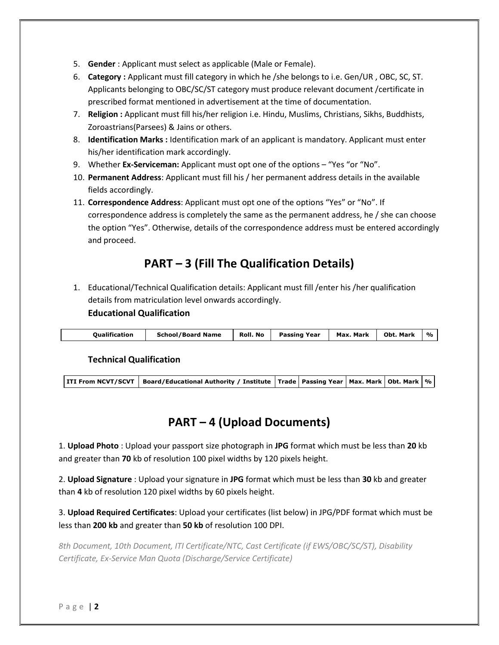- 5. Gender : Applicant must select as applicable (Male or Female).
- 6. Category : Applicant must fill category in which he /she belongs to i.e. Gen/UR , OBC, SC, ST. Applicants belonging to OBC/SC/ST category must produce relevant document /certificate in prescribed format mentioned in advertisement at the time of documentation.
- 7. Religion : Applicant must fill his/her religion i.e. Hindu, Muslims, Christians, Sikhs, Buddhists, Zoroastrians(Parsees) & Jains or others.
- 8. Identification Marks : Identification mark of an applicant is mandatory. Applicant must enter his/her identification mark accordingly.
- 9. Whether Ex-Serviceman: Applicant must opt one of the options "Yes "or "No".
- 10. Permanent Address: Applicant must fill his / her permanent address details in the available fields accordingly.
- 11. Correspondence Address: Applicant must opt one of the options "Yes" or "No". If correspondence address is completely the same as the permanent address, he / she can choose the option "Yes". Otherwise, details of the correspondence address must be entered accordingly and proceed.

# PART – 3 (Fill The Qualification Details)

1. Educational/Technical Qualification details: Applicant must fill /enter his /her qualification details from matriculation level onwards accordingly.

#### Educational Qualification

| Max.<br><b>Oualification</b><br><b>Roll</b> . No<br>Passing Year<br>. Mark<br><b>School/Board Name</b><br><b>Obt. Mark</b> | $\frac{1}{2}$ |
|----------------------------------------------------------------------------------------------------------------------------|---------------|
|----------------------------------------------------------------------------------------------------------------------------|---------------|

#### Technical Qualification

# PART – 4 (Upload Documents)

1. Upload Photo : Upload your passport size photograph in JPG format which must be less than 20 kb and greater than 70 kb of resolution 100 pixel widths by 120 pixels height.

2. Upload Signature : Upload your signature in JPG format which must be less than 30 kb and greater than 4 kb of resolution 120 pixel widths by 60 pixels height.

3. Upload Required Certificates: Upload your certificates (list below) in JPG/PDF format which must be less than 200 kb and greater than 50 kb of resolution 100 DPI.

8th Document, 10th Document, ITI Certificate/NTC, Cast Certificate (if EWS/OBC/SC/ST), Disability Certificate, Ex-Service Man Quota (Discharge/Service Certificate)